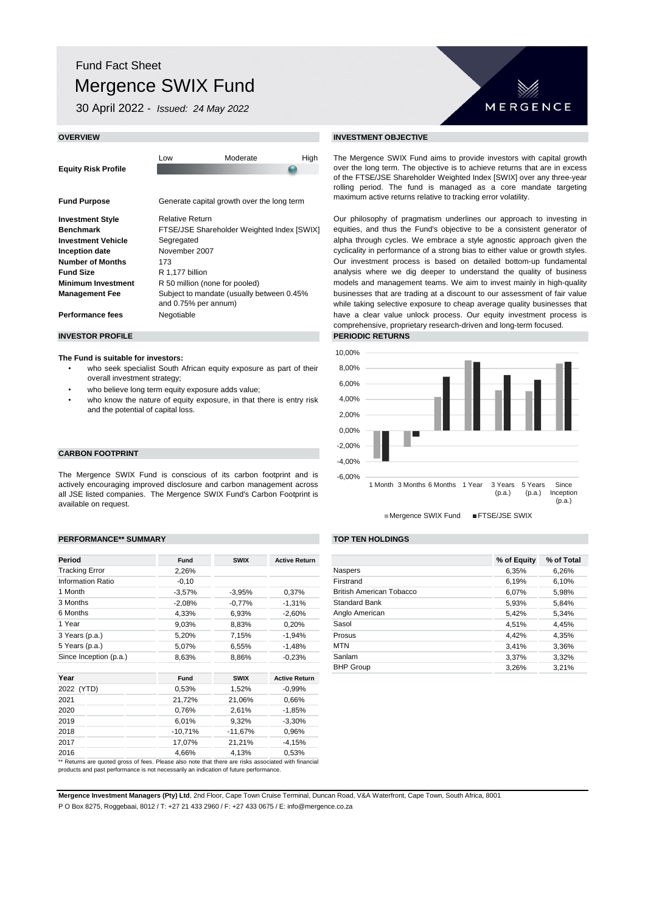# Fund Fact Sheet Mergence SWIX Fund

30 April 2022 - *Issued: 24 May 2022*

| <b>OVERVIEW</b>            |                        |                                            |                                                                                                                | <b>INVESTMENT OBJECTIVE</b>   |  |
|----------------------------|------------------------|--------------------------------------------|----------------------------------------------------------------------------------------------------------------|-------------------------------|--|
| <b>Equity Risk Profile</b> | Low                    | Moderate                                   | The Mergence SWIX Fund<br>over the long term. The obj<br>of the FTSE/JSE Sharehold<br>rolling period. The fund |                               |  |
| <b>Fund Purpose</b>        |                        | Generate capital growth over the long term | maximum active returns rela                                                                                    |                               |  |
| <b>Investment Style</b>    | <b>Relative Return</b> |                                            |                                                                                                                | Our philosophy of pragmat     |  |
| <b>Benchmark</b>           |                        | FTSE/JSE Shareholder Weighted Index [SWIX] | equities, and thus the Fun                                                                                     |                               |  |
| <b>Investment Vehicle</b>  | Segregated             |                                            |                                                                                                                | alpha through cycles. We      |  |
| Inception date             | November 2007          |                                            |                                                                                                                | cyclicality in performance of |  |

**Number of Months** 173 **Fund Size** R 1,177 billion **Minimum Investment** R 50 million (none for pooled) **Performance fees** Negotiable Subject to mandate (usually between 0.45% and 0.75% per annum)

**Management Fee**

### **The Fund is suitable for investors:**

- who seek specialist South African equity exposure as part of their overall investment strategy;
- who believe long term equity exposure adds value;
- who know the nature of equity exposure, in that there is entry risk and the potential of capital loss.

# **CARBON FOOTPRINT**

The Mergence SWIX Fund is conscious of its carbon footprint and is actively encouraging improved disclosure and carbon management across all JSE listed companies. The Mergence SWIX Fund's Carbon Footprint is available on request.

### **PERFORMANCE\*\* SUMMARY TOP TEN HOLDINGS**

| Period                                                                                               | <b>Fund</b> | <b>SWIX</b> | <b>Active Return</b> |
|------------------------------------------------------------------------------------------------------|-------------|-------------|----------------------|
| <b>Tracking Error</b>                                                                                | 2,26%       |             |                      |
| <b>Information Ratio</b>                                                                             | $-0,10$     |             |                      |
| 1 Month                                                                                              | $-3,57%$    | $-3,95%$    | 0,37%                |
| 3 Months                                                                                             | $-2,08%$    | $-0,77%$    | $-1,31%$             |
| 6 Months                                                                                             | 4,33%       | 6,93%       | $-2,60%$             |
| 1 Year                                                                                               | 9,03%       | 8,83%       | 0,20%                |
| 3 Years (p.a.)                                                                                       | 5,20%       | 7,15%       | $-1,94%$             |
| 5 Years (p.a.)                                                                                       | 5,07%       | 6,55%       | $-1,48%$             |
| Since Inception (p.a.)                                                                               | 8,63%       | 8,86%       | $-0.23%$             |
| Year                                                                                                 | <b>Fund</b> | <b>SWIX</b> | <b>Active Return</b> |
| 2022 (YTD)                                                                                           | 0,53%       | 1,52%       | $-0,99%$             |
| 2021                                                                                                 | 21,72%      | 21,06%      | 0,66%                |
| 2020                                                                                                 | 0,76%       | 2,61%       | $-1,85%$             |
| 2019                                                                                                 | 6,01%       | 9,32%       | $-3,30%$             |
| 2018                                                                                                 | $-10,71%$   | -11,67%     | 0,96%                |
| 2017                                                                                                 | 17,07%      | 21,21%      | $-4,15%$             |
| 2016                                                                                                 | 4,66%       | 4,13%       | 0,53%                |
| ** Returns are quoted gross of fees. Please also note that there are risks associated with financial |             |             |                      |

products and past performance is not necessarily an indication of future performance.



The Mergence SWIX Fund aims to provide investors with capital growth over the long term. The objective is to achieve returns that are in excess of the FTSE/JSE Shareholder Weighted Index [SWIX] over any three-year rolling period. The fund is managed as a core mandate targeting maximum active returns relative to tracking error volatility.

Our philosophy of pragmatism underlines our approach to investing in equities, and thus the Fund's objective to be a consistent generator of alpha through cycles. We embrace a style agnostic approach given the cyclicality in performance of a strong bias to either value or growth styles. Our investment process is based on detailed bottom-up fundamental analysis where we dig deeper to understand the quality of business models and management teams. We aim to invest mainly in high-quality businesses that are trading at a discount to our assessment of fair value while taking selective exposure to cheap average quality businesses that have a clear value unlock process. Our equity investment process is comprehensive, proprietary research-driven and long-term focused.







| <b>Fund</b> | <b>SWIX</b> | <b>Active Return</b> |                          | % of Equity | % of Total |
|-------------|-------------|----------------------|--------------------------|-------------|------------|
| 2,26%       |             |                      | <b>Naspers</b>           | 6,35%       | 6,26%      |
| $-0,10$     |             |                      | Firstrand                | 6,19%       | 6,10%      |
| $-3.57\%$   | $-3,95%$    | 0.37%                | British American Tobacco | 6,07%       | 5,98%      |
| -2,08%      | $-0.77%$    | $-1.31%$             | <b>Standard Bank</b>     | 5,84%       |            |
| 4,33%       | 6,93%       | $-2,60%$             | Anglo American           | 5,42%       | 5,34%      |
| 9,03%       | 8,83%       | 0,20%                | Sasol                    | 4.51%       | 4,45%      |
| 5,20%       | 7.15%       | $-1,94%$             | Prosus                   | 4.42%       | 4,35%      |
| 5,07%       | 6,55%       | $-1,48%$             | <b>MTN</b>               | 3.41%       | 3,36%      |
| 8,63%       | 8,86%       | $-0.23%$             | Sanlam                   | 3.37%       | 3.32%      |
|             |             |                      | <b>BHP Group</b>         | 3.26%       | 3.21%      |

**Mergence Investment Managers (Pty) Ltd**, 2nd Floor, Cape Town Cruise Terminal, Duncan Road, V&A Waterfront, Cape Town, South Africa, 8001

P O Box 8275, Roggebaai, 8012 / T: +27 21 433 2960 / F: +27 433 0675 / E: info@mergence.co.za